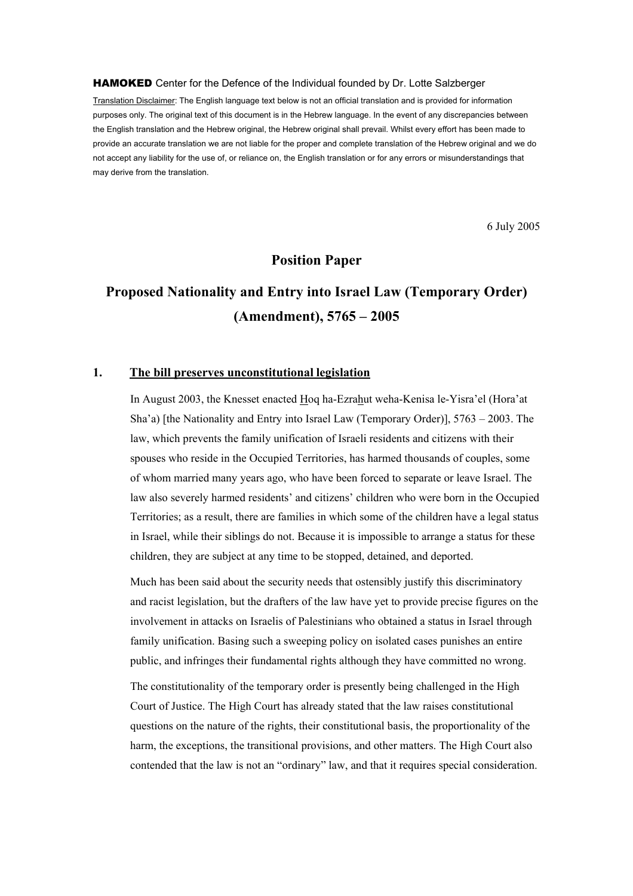Translation Disclaimer: The English language text below is not an official translation and is provided for information purposes only. The original text of this document is in the Hebrew language. In the event of any discrepancies between the English translation and the Hebrew original, the Hebrew original shall prevail. Whilst every effort has been made to provide an accurate translation we are not liable for the proper and complete translation of the Hebrew original and we do not accept any liability for the use of, or reliance on, the English translation or for any errors or misunderstandings that may derive from the translation.

6 July 2005

# **Position Paper**

# **Proposed Nationality and Entry into Israel Law (Temporary Order) (Amendment), 5765 – 2005**

# **1. The bill preserves unconstitutional legislation**

In August 2003, the Knesset enacted Hoq ha-Ezrahut weha-Kenisa le-Yisra'el (Hora'at Sha'a) [the Nationality and Entry into Israel Law (Temporary Order)], 5763 – 2003. The law, which prevents the family unification of Israeli residents and citizens with their spouses who reside in the Occupied Territories, has harmed thousands of couples, some of whom married many years ago, who have been forced to separate or leave Israel. The law also severely harmed residents' and citizens' children who were born in the Occupied Territories; as a result, there are families in which some of the children have a legal status in Israel, while their siblings do not. Because it is impossible to arrange a status for these children, they are subject at any time to be stopped, detained, and deported.

Much has been said about the security needs that ostensibly justify this discriminatory and racist legislation, but the drafters of the law have yet to provide precise figures on the involvement in attacks on Israelis of Palestinians who obtained a status in Israel through family unification. Basing such a sweeping policy on isolated cases punishes an entire public, and infringes their fundamental rights although they have committed no wrong.

The constitutionality of the temporary order is presently being challenged in the High Court of Justice. The High Court has already stated that the law raises constitutional questions on the nature of the rights, their constitutional basis, the proportionality of the harm, the exceptions, the transitional provisions, and other matters. The High Court also contended that the law is not an "ordinary" law, and that it requires special consideration.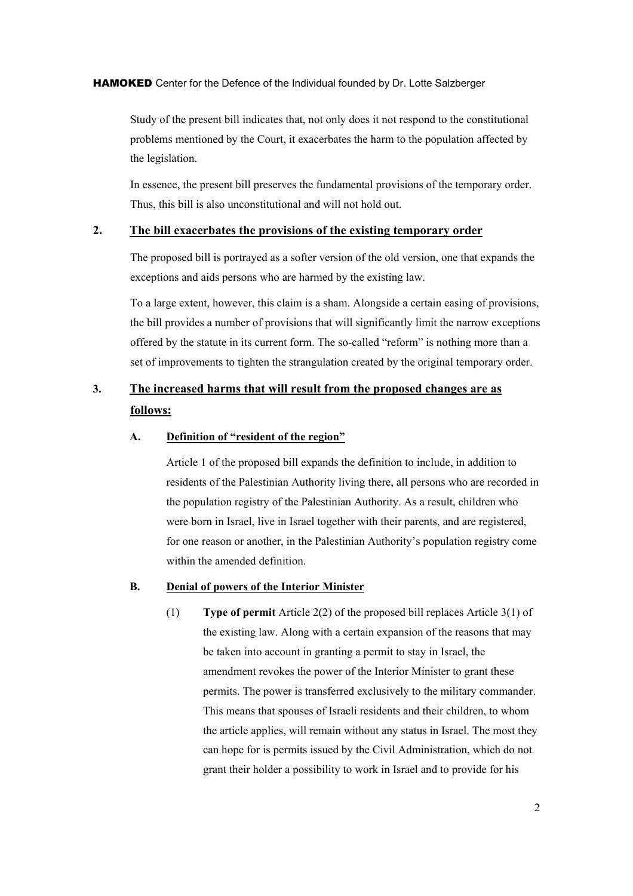Study of the present bill indicates that, not only does it not respond to the constitutional problems mentioned by the Court, it exacerbates the harm to the population affected by the legislation.

In essence, the present bill preserves the fundamental provisions of the temporary order. Thus, this bill is also unconstitutional and will not hold out.

# **2. The bill exacerbates the provisions of the existing temporary order**

The proposed bill is portrayed as a softer version of the old version, one that expands the exceptions and aids persons who are harmed by the existing law.

To a large extent, however, this claim is a sham. Alongside a certain easing of provisions, the bill provides a number of provisions that will significantly limit the narrow exceptions offered by the statute in its current form. The so-called "reform" is nothing more than a set of improvements to tighten the strangulation created by the original temporary order.

# **3. The increased harms that will result from the proposed changes are as follows:**

# **A. Definition of "resident of the region"**

Article 1 of the proposed bill expands the definition to include, in addition to residents of the Palestinian Authority living there, all persons who are recorded in the population registry of the Palestinian Authority. As a result, children who were born in Israel, live in Israel together with their parents, and are registered, for one reason or another, in the Palestinian Authority's population registry come within the amended definition.

# **B. Denial of powers of the Interior Minister**

(1) **Type of permit** Article 2(2) of the proposed bill replaces Article 3(1) of the existing law. Along with a certain expansion of the reasons that may be taken into account in granting a permit to stay in Israel, the amendment revokes the power of the Interior Minister to grant these permits. The power is transferred exclusively to the military commander. This means that spouses of Israeli residents and their children, to whom the article applies, will remain without any status in Israel. The most they can hope for is permits issued by the Civil Administration, which do not grant their holder a possibility to work in Israel and to provide for his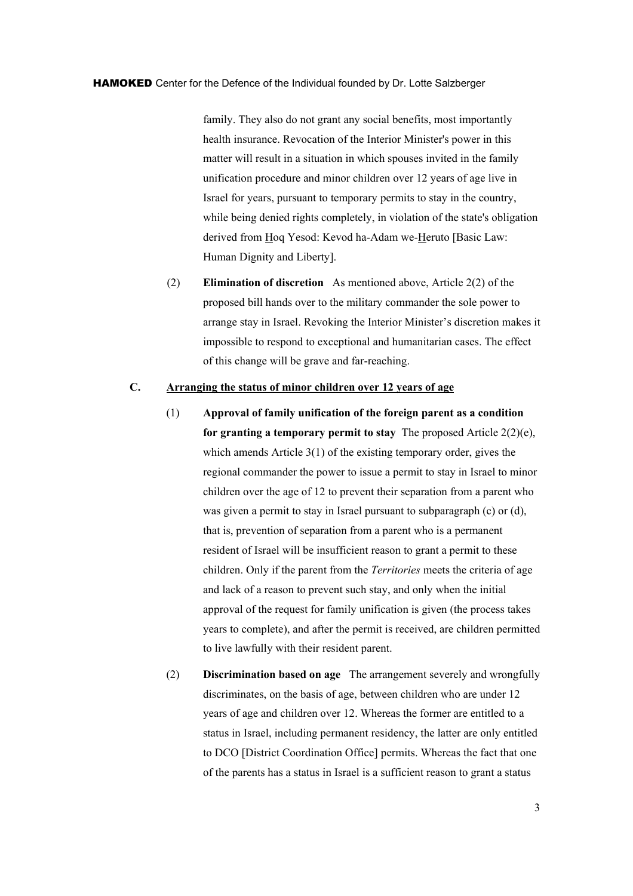family. They also do not grant any social benefits, most importantly health insurance. Revocation of the Interior Minister's power in this matter will result in a situation in which spouses invited in the family unification procedure and minor children over 12 years of age live in Israel for years, pursuant to temporary permits to stay in the country, while being denied rights completely, in violation of the state's obligation derived from Hoq Yesod: Kevod ha-Adam we-Heruto [Basic Law: Human Dignity and Liberty].

(2) **Elimination of discretion** As mentioned above, Article 2(2) of the proposed bill hands over to the military commander the sole power to arrange stay in Israel. Revoking the Interior Minister's discretion makes it impossible to respond to exceptional and humanitarian cases. The effect of this change will be grave and far-reaching.

# **C. Arranging the status of minor children over 12 years of age**

- (1) **Approval of family unification of the foreign parent as a condition for granting a temporary permit to stay** The proposed Article 2(2)(e), which amends Article 3(1) of the existing temporary order, gives the regional commander the power to issue a permit to stay in Israel to minor children over the age of 12 to prevent their separation from a parent who was given a permit to stay in Israel pursuant to subparagraph (c) or (d), that is, prevention of separation from a parent who is a permanent resident of Israel will be insufficient reason to grant a permit to these children. Only if the parent from the *Territories* meets the criteria of age and lack of a reason to prevent such stay, and only when the initial approval of the request for family unification is given (the process takes years to complete), and after the permit is received, are children permitted to live lawfully with their resident parent.
- (2) **Discrimination based on age** The arrangement severely and wrongfully discriminates, on the basis of age, between children who are under 12 years of age and children over 12. Whereas the former are entitled to a status in Israel, including permanent residency, the latter are only entitled to DCO [District Coordination Office] permits. Whereas the fact that one of the parents has a status in Israel is a sufficient reason to grant a status

3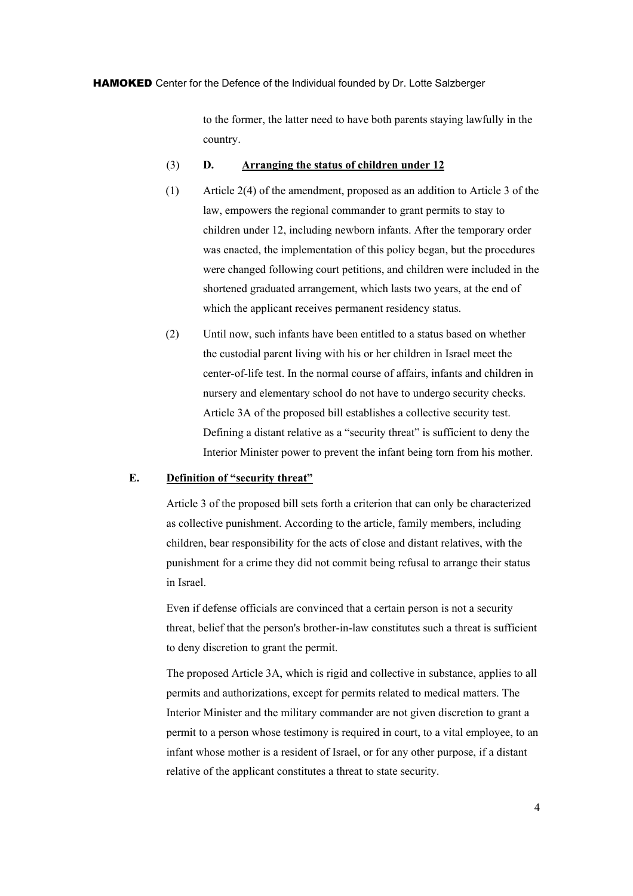to the former, the latter need to have both parents staying lawfully in the country.

#### (3) **D. Arranging the status of children under 12**

- (1) Article 2(4) of the amendment, proposed as an addition to Article 3 of the law, empowers the regional commander to grant permits to stay to children under 12, including newborn infants. After the temporary order was enacted, the implementation of this policy began, but the procedures were changed following court petitions, and children were included in the shortened graduated arrangement, which lasts two years, at the end of which the applicant receives permanent residency status.
- (2) Until now, such infants have been entitled to a status based on whether the custodial parent living with his or her children in Israel meet the center-of-life test. In the normal course of affairs, infants and children in nursery and elementary school do not have to undergo security checks. Article 3A of the proposed bill establishes a collective security test. Defining a distant relative as a "security threat" is sufficient to deny the Interior Minister power to prevent the infant being torn from his mother.

#### **E. Definition of "security threat"**

Article 3 of the proposed bill sets forth a criterion that can only be characterized as collective punishment. According to the article, family members, including children, bear responsibility for the acts of close and distant relatives, with the punishment for a crime they did not commit being refusal to arrange their status in Israel.

Even if defense officials are convinced that a certain person is not a security threat, belief that the person's brother-in-law constitutes such a threat is sufficient to deny discretion to grant the permit.

The proposed Article 3A, which is rigid and collective in substance, applies to all permits and authorizations, except for permits related to medical matters. The Interior Minister and the military commander are not given discretion to grant a permit to a person whose testimony is required in court, to a vital employee, to an infant whose mother is a resident of Israel, or for any other purpose, if a distant relative of the applicant constitutes a threat to state security.